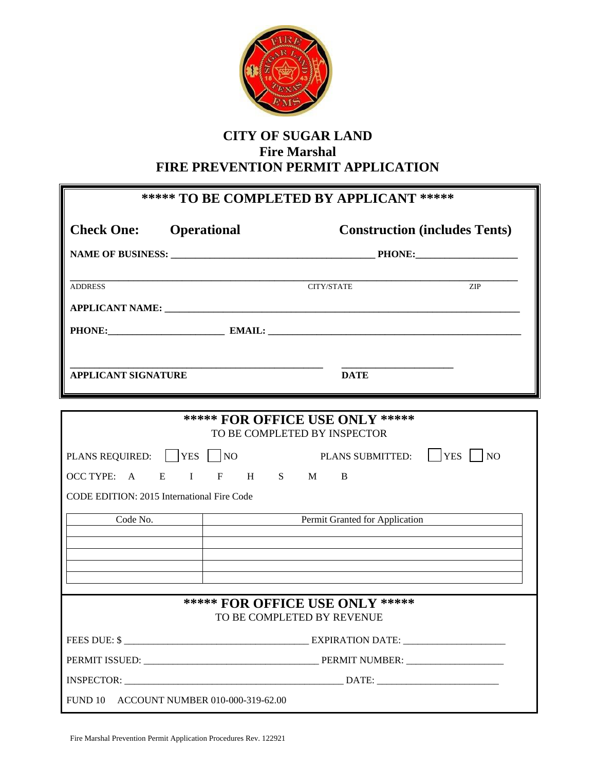

## **CITY OF SUGAR LAND Fire Marshal FIRE PREVENTION PERMIT APPLICATION**

|  | ***** TO BE COMPLETED BY APPLICANT ***** |
|--|------------------------------------------|
|  |                                          |

| <b>Check One:</b> Operational                                          |                                |                         | <b>Construction (includes Tents)</b> |  |
|------------------------------------------------------------------------|--------------------------------|-------------------------|--------------------------------------|--|
|                                                                        |                                |                         |                                      |  |
| <b>ADDRESS</b>                                                         |                                | CITY/STATE              | <b>ZIP</b>                           |  |
|                                                                        |                                |                         |                                      |  |
|                                                                        |                                |                         |                                      |  |
|                                                                        |                                |                         |                                      |  |
| <b>APPLICANT SIGNATURE</b>                                             |                                | <b>DATE</b>             |                                      |  |
|                                                                        |                                |                         |                                      |  |
| <b>***** FOR OFFICE USE ONLY *****</b><br>TO BE COMPLETED BY INSPECTOR |                                |                         |                                      |  |
| PLANS REQUIRED:     YES     NO                                         |                                | <b>PLANS SUBMITTED:</b> | YES<br>N <sub>O</sub>                |  |
| OCC TYPE: A E I F H S M B                                              |                                |                         |                                      |  |
| <b>CODE EDITION: 2015 International Fire Code</b>                      |                                |                         |                                      |  |
| Code No.                                                               | Permit Granted for Application |                         |                                      |  |
|                                                                        |                                |                         |                                      |  |
|                                                                        |                                |                         |                                      |  |
|                                                                        |                                |                         |                                      |  |
| <b>***** FOR OFFICE USE ONLY *****</b><br>TO BE COMPLETED BY REVENUE   |                                |                         |                                      |  |
|                                                                        |                                |                         |                                      |  |
|                                                                        |                                |                         |                                      |  |
|                                                                        |                                |                         |                                      |  |

FUND 10 ACCOUNT NUMBER 010-000-319-62.00